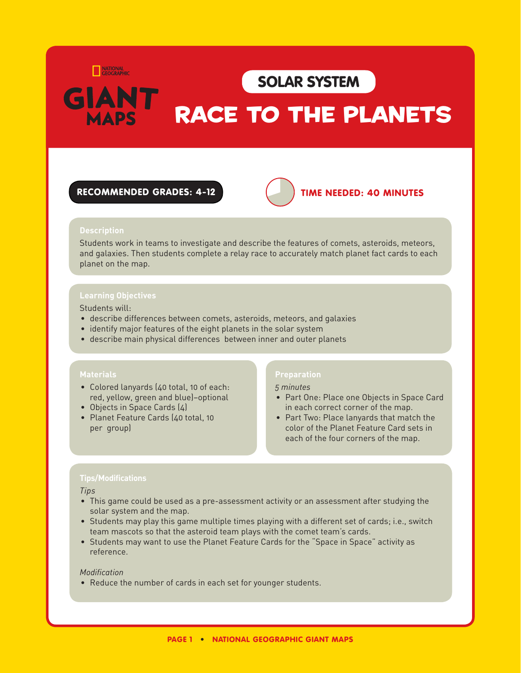NATIONAL<br>GEOGRAPHIC

## SOLAR SYST

# RACE TO THE PLANETS

#### RECOMMENDED GRADES: 4-12 **TIME NEEDED: 40 MINUTES**



#### **Description**

Students work in teams to investigate and describe the features of comets, asteroids, meteors, and galaxies. Then students complete a relay race to accurately match planet fact cards to each planet on the map.

#### **Learning Objectives**

#### Students will:

- • describe differences between comets, asteroids, meteors, and galaxies
- identify major features of the eight planets in the solar system
- describe main physical differences between inner and outer planets

#### **Materials**

- Colored lanyards (40 total, 10 of each: red, yellow, green and blue)–optional
- Objects in Space Cards (4)
- Planet Feature Cards (40 total, 10 per group)

#### **Preparation**

#### *5 minutes*

- Part One: Place one Objects in Space Card in each correct corner of the map.
- Part Two: Place lanyards that match the color of the Planet Feature Card sets in each of the four corners of the map.

#### **Tips/Modifications**

#### *Tips*

- • This game could be used as a pre-assessment activity or an assessment after studying the solar system and the map.
- • Students may play this game multiple times playing with a different set of cards; i.e., switch team mascots so that the asteroid team plays with the comet team's cards.
- • Students may want to use the Planet Feature Cards for the "Space in Space" activity as reference.

#### *Modification*

• Reduce the number of cards in each set for younger students.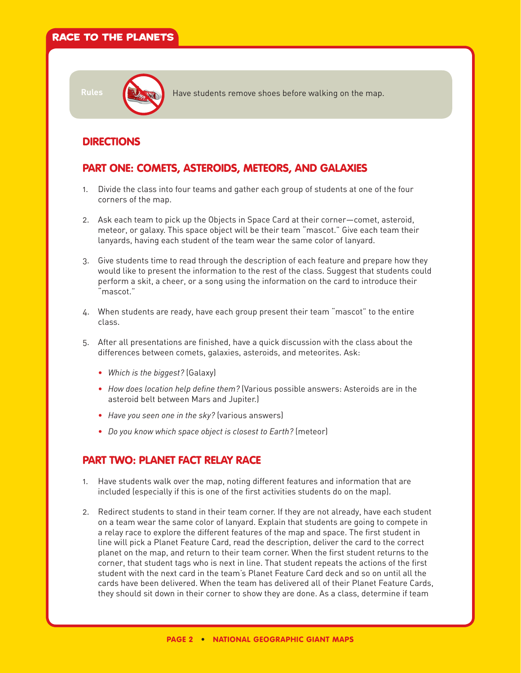## RACE TO THE PLANETS



Rules **Have students remove shoes before walking on the map.** 

## DIRECTIONS

## PART ONE: COMETS, ASTEROIDS, METEORS, AND GALAXIES

- 1. Divide the class into four teams and gather each group of students at one of the four corners of the map.
- 2. Ask each team to pick up the Objects in Space Card at their corner—comet, asteroid, meteor, or galaxy. This space object will be their team "mascot." Give each team their lanyards, having each student of the team wear the same color of lanyard.
- 3. Give students time to read through the description of each feature and prepare how they would like to present the information to the rest of the class. Suggest that students could perform a skit, a cheer, or a song using the information on the card to introduce their "mascot."
- 4. When students are ready, have each group present their team "mascot" to the entire class.
- 5. After all presentations are finished, have a quick discussion with the class about the differences between comets, galaxies, asteroids, and meteorites. Ask:
	- •   *Which is the biggest?* (Galaxy)
	- •   *How does location help define them?* (Various possible answers: Asteroids are in the asteroid belt between Mars and Jupiter.)
	- •   *Have you seen one in the sky?* (various answers)
	- •   *Do you know which space object is closest to Earth?* (meteor)

### PART TWO: PLANET FACT RELAY RACE

- 1. Have students walk over the map, noting different features and information that are included (especially if this is one of the first activities students do on the map).
- 2. Redirect students to stand in their team corner. If they are not already, have each student on a team wear the same color of lanyard. Explain that students are going to compete in a relay race to explore the different features of the map and space. The first student in line will pick a Planet Feature Card, read the description, deliver the card to the correct planet on the map, and return to their team corner. When the first student returns to the corner, that student tags who is next in line. That student repeats the actions of the first student with the next card in the team's Planet Feature Card deck and so on until all the cards have been delivered. When the team has delivered all of their Planet Feature Cards, they should sit down in their corner to show they are done. As a class, determine if team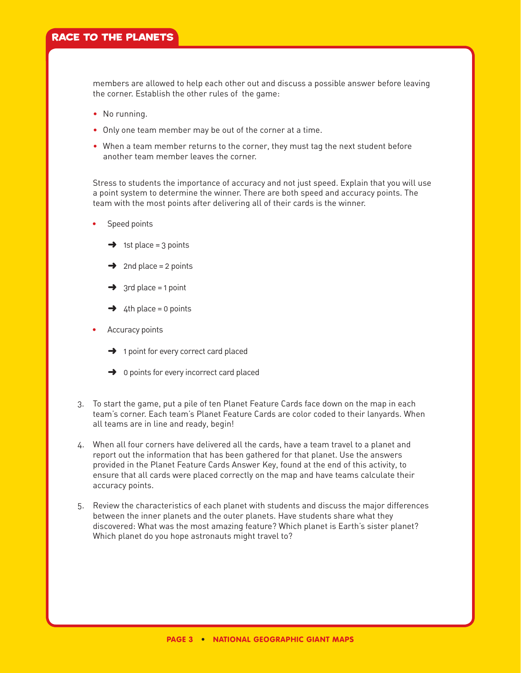members are allowed to help each other out and discuss a possible answer before leaving the corner. Establish the other rules of the game:

- No running.
- Only one team member may be out of the corner at a time.
- •   When a team member returns to the corner, they must tag the next student before another team member leaves the corner.

Stress to students the importance of accuracy and not just speed. Explain that you will use a point system to determine the winner. There are both speed and accuracy points. The team with the most points after delivering all of their cards is the winner.

- Speed points
	- $\rightarrow$  1st place = 3 points
	- $\rightarrow$  2nd place = 2 points
	- $\rightarrow$  3rd place = 1 point
	- $\rightarrow$  4th place = 0 points
- Accuracy points
	- $\rightarrow$  1 point for every correct card placed
	- $\rightarrow$  0 points for every incorrect card placed
- 3. To start the game, put a pile of ten Planet Feature Cards face down on the map in each team's corner. Each team's Planet Feature Cards are color coded to their lanyards. When all teams are in line and ready, begin!
- 4. When all four corners have delivered all the cards, have a team travel to a planet and report out the information that has been gathered for that planet. Use the answers provided in the Planet Feature Cards Answer Key, found at the end of this activity, to ensure that all cards were placed correctly on the map and have teams calculate their accuracy points.
- 5. Review the characteristics of each planet with students and discuss the major differences between the inner planets and the outer planets. Have students share what they discovered: What was the most amazing feature? Which planet is Earth's sister planet? Which planet do you hope astronauts might travel to?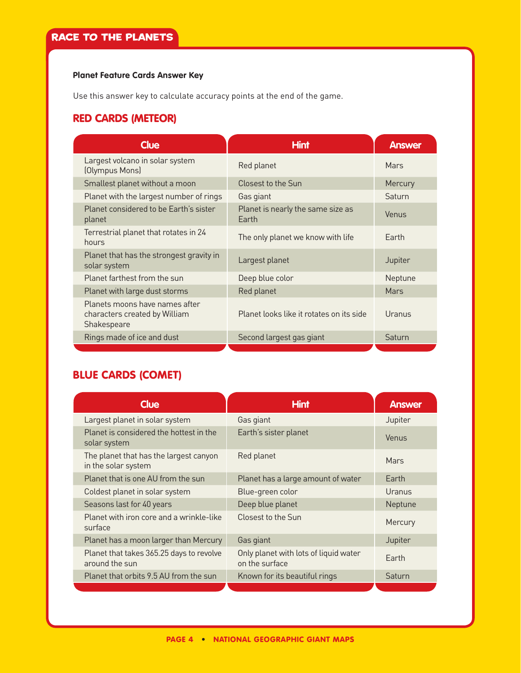#### **Planet Feature Cards Answer Key**

Use this answer key to calculate accuracy points at the end of the game.

## RED CARDS (METEOR)

| Clue                                                                           | <b>Hint</b>                                | <b>Answer</b> |
|--------------------------------------------------------------------------------|--------------------------------------------|---------------|
| Largest volcano in solar system<br>(Olympus Mons)                              | Red planet                                 | Mars          |
| Smallest planet without a moon                                                 | Closest to the Sun                         | Mercury       |
| Planet with the largest number of rings                                        | Gas giant                                  | Saturn        |
| Planet considered to be Earth's sister<br>planet                               | Planet is nearly the same size as<br>Earth | Venus         |
| Terrestrial planet that rotates in 24<br>hours                                 | The only planet we know with life          | Earth         |
| Planet that has the strongest gravity in<br>solar system                       | Largest planet                             | Jupiter       |
| Planet farthest from the sun                                                   | Deep blue color                            | Neptune       |
| Planet with large dust storms                                                  | Red planet                                 | Mars          |
| Planets moons have names after<br>characters created by William<br>Shakespeare | Planet looks like it rotates on its side   | Uranus        |
| Rings made of ice and dust                                                     | Second largest gas giant                   | Saturn        |
|                                                                                |                                            |               |

## BLUE CARDS (COMET)

| <b>Clue</b>                                                   | <b>Hint</b>                                             | <b>Answer</b> |
|---------------------------------------------------------------|---------------------------------------------------------|---------------|
| Largest planet in solar system                                | Gas giant                                               | Jupiter       |
| Planet is considered the hottest in the<br>solar system       | Earth's sister planet                                   | Venus         |
| The planet that has the largest canyon<br>in the solar system | Red planet                                              | Mars          |
| Planet that is one AU from the sun                            | Planet has a large amount of water                      | Farth         |
| Coldest planet in solar system                                | Blue-green color                                        | Uranus        |
| Seasons last for 40 years                                     | Deep blue planet                                        | Neptune       |
| Planet with iron core and a wrinkle-like<br>surface           | Closest to the Sun                                      | Mercury       |
| Planet has a moon larger than Mercury                         | Gas giant                                               | Jupiter       |
| Planet that takes 365.25 days to revolve<br>around the sun    | Only planet with lots of liquid water<br>on the surface | Earth         |
| Planet that orbits 9.5 AU from the sun                        | Known for its beautiful rings                           | Saturn        |